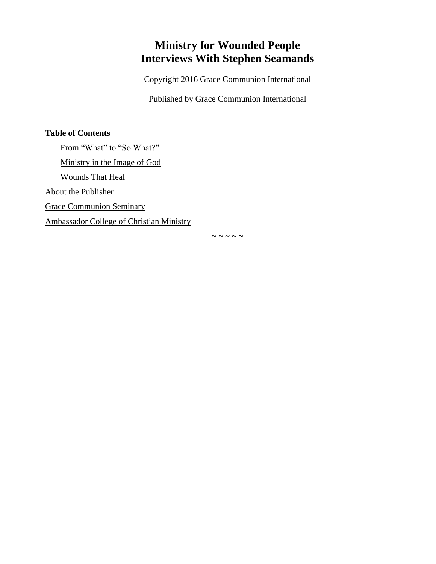# **Ministry for Wounded People Interviews With Stephen Seamands**

Copyright 2016 Grace Communion International

Published by Grace Communion International

### <span id="page-0-0"></span>**Table of Contents**

[From "What" to "So What?"](#page-2-0) [Ministry in the Image of God](#page-10-0) [Wounds That Heal](#page-16-0) [About the Publisher](#page-22-0) [Grace Communion Seminary](#page-25-0) [Ambassador College of Christian Ministry](#page-26-0)

 $\sim$   $\sim$   $\sim$   $\sim$   $\sim$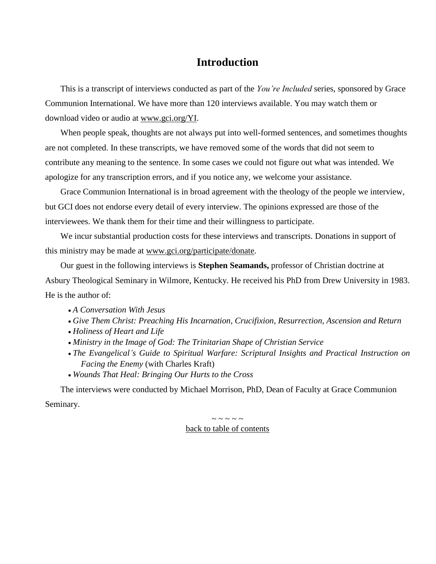## **Introduction**

This is a transcript of interviews conducted as part of the *You're Included* series, sponsored by Grace Communion International. We have more than 120 interviews available. You may watch them or download video or audio at [www.gci.org/YI.](http://www.gci.org/YI)

When people speak, thoughts are not always put into well-formed sentences, and sometimes thoughts are not completed. In these transcripts, we have removed some of the words that did not seem to contribute any meaning to the sentence. In some cases we could not figure out what was intended. We apologize for any transcription errors, and if you notice any, we welcome your assistance.

Grace Communion International is in broad agreement with the theology of the people we interview, but GCI does not endorse every detail of every interview. The opinions expressed are those of the interviewees. We thank them for their time and their willingness to participate.

We incur substantial production costs for these interviews and transcripts. Donations in support of this ministry may be made at [www.gci.org/participate/donate.](http://www.gci.org/participate/donate)

Our guest in the following interviews is **Stephen Seamands,** professor of Christian doctrine at Asbury Theological Seminary in Wilmore, Kentucky. He received his PhD from Drew University in 1983. He is the author of:

- *A Conversation With Jesus*
- *Give Them Christ: Preaching His Incarnation, Crucifixion, Resurrection, Ascension and Return*
- *Holiness of Heart and Life*
- *Ministry in the Image of God: The Trinitarian Shape of Christian Service*
- *The Evangelical's Guide to Spiritual Warfare: Scriptural Insights and Practical Instruction on Facing the Enemy* (with Charles Kraft)
- *Wounds That Heal: Bringing Our Hurts to the Cross*

The interviews were conducted by Michael Morrison, PhD, Dean of Faculty at Grace Communion Seminary.

> ~ ~ ~ ~ ~ [back to table of contents](#page-0-0)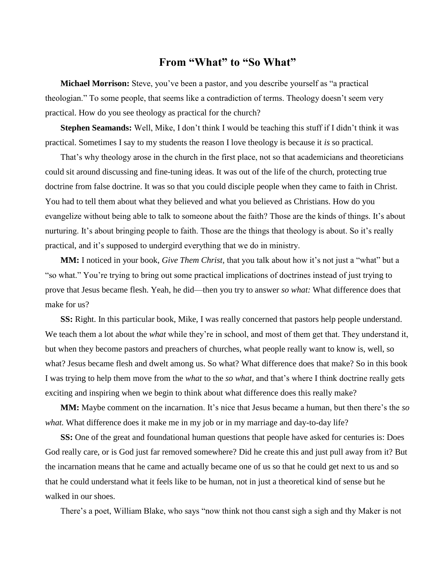### **From "What" to "So What"**

<span id="page-2-0"></span>**Michael Morrison:** Steve, you've been a pastor, and you describe yourself as "a practical theologian." To some people, that seems like a contradiction of terms. Theology doesn't seem very practical. How do you see theology as practical for the church?

**Stephen Seamands:** Well, Mike, I don't think I would be teaching this stuff if I didn't think it was practical. Sometimes I say to my students the reason I love theology is because it *is* so practical.

That's why theology arose in the church in the first place, not so that academicians and theoreticians could sit around discussing and fine-tuning ideas. It was out of the life of the church, protecting true doctrine from false doctrine. It was so that you could disciple people when they came to faith in Christ. You had to tell them about what they believed and what you believed as Christians. How do you evangelize without being able to talk to someone about the faith? Those are the kinds of things. It's about nurturing. It's about bringing people to faith. Those are the things that theology is about. So it's really practical, and it's supposed to undergird everything that we do in ministry.

**MM:** I noticed in your book, *Give Them Christ,* that you talk about how it's not just a "what" but a "so what." You're trying to bring out some practical implications of doctrines instead of just trying to prove that Jesus became flesh. Yeah, he did—then you try to answer *so what:* What difference does that make for us?

**SS:** Right. In this particular book, Mike, I was really concerned that pastors help people understand. We teach them a lot about the *what* while they're in school, and most of them get that. They understand it, but when they become pastors and preachers of churches, what people really want to know is, well, so what? Jesus became flesh and dwelt among us. So what? What difference does that make? So in this book I was trying to help them move from the *what* to the *so what,* and that's where I think doctrine really gets exciting and inspiring when we begin to think about what difference does this really make?

**MM:** Maybe comment on the incarnation. It's nice that Jesus became a human, but then there's the *so what.* What difference does it make me in my job or in my marriage and day-to-day life?

**SS:** One of the great and foundational human questions that people have asked for centuries is: Does God really care, or is God just far removed somewhere? Did he create this and just pull away from it? But the incarnation means that he came and actually became one of us so that he could get next to us and so that he could understand what it feels like to be human, not in just a theoretical kind of sense but he walked in our shoes.

There's a poet, William Blake, who says "now think not thou canst sigh a sigh and thy Maker is not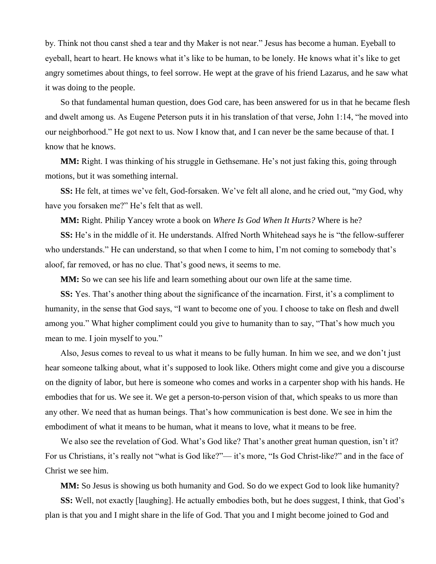by. Think not thou canst shed a tear and thy Maker is not near." Jesus has become a human. Eyeball to eyeball, heart to heart. He knows what it's like to be human, to be lonely. He knows what it's like to get angry sometimes about things, to feel sorrow. He wept at the grave of his friend Lazarus, and he saw what it was doing to the people.

So that fundamental human question, does God care, has been answered for us in that he became flesh and dwelt among us. As Eugene Peterson puts it in his translation of that verse, John 1:14, "he moved into our neighborhood." He got next to us. Now I know that, and I can never be the same because of that. I know that he knows.

**MM:** Right. I was thinking of his struggle in Gethsemane. He's not just faking this, going through motions, but it was something internal.

**SS:** He felt, at times we've felt, God-forsaken. We've felt all alone, and he cried out, "my God, why have you forsaken me?" He's felt that as well.

**MM:** Right. Philip Yancey wrote a book on *Where Is God When It Hurts?* Where is he?

**SS:** He's in the middle of it. He understands. Alfred North Whitehead says he is "the fellow-sufferer who understands." He can understand, so that when I come to him, I'm not coming to somebody that's aloof, far removed, or has no clue. That's good news, it seems to me.

**MM:** So we can see his life and learn something about our own life at the same time.

**SS:** Yes. That's another thing about the significance of the incarnation. First, it's a compliment to humanity, in the sense that God says, "I want to become one of you. I choose to take on flesh and dwell among you." What higher compliment could you give to humanity than to say, "That's how much you mean to me. I join myself to you."

Also, Jesus comes to reveal to us what it means to be fully human. In him we see, and we don't just hear someone talking about, what it's supposed to look like. Others might come and give you a discourse on the dignity of labor, but here is someone who comes and works in a carpenter shop with his hands. He embodies that for us. We see it. We get a person-to-person vision of that, which speaks to us more than any other. We need that as human beings. That's how communication is best done. We see in him the embodiment of what it means to be human, what it means to love, what it means to be free.

We also see the revelation of God. What's God like? That's another great human question, isn't it? For us Christians, it's really not "what is God like?"— it's more, "Is God Christ-like?" and in the face of Christ we see him.

**MM:** So Jesus is showing us both humanity and God. So do we expect God to look like humanity?

**SS:** Well, not exactly [laughing]. He actually embodies both, but he does suggest, I think, that God's plan is that you and I might share in the life of God. That you and I might become joined to God and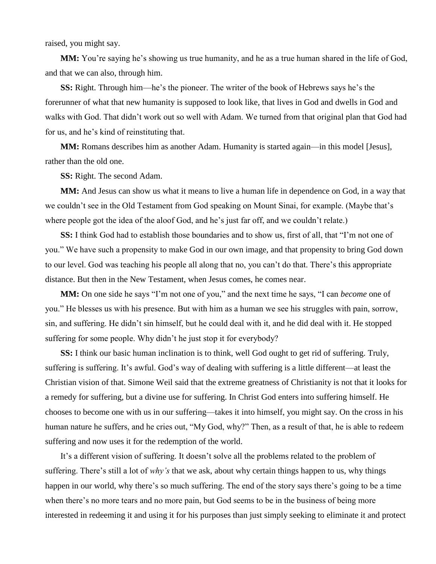raised, you might say.

**MM:** You're saying he's showing us true humanity, and he as a true human shared in the life of God, and that we can also, through him.

**SS:** Right. Through him—he's the pioneer. The writer of the book of Hebrews says he's the forerunner of what that new humanity is supposed to look like, that lives in God and dwells in God and walks with God. That didn't work out so well with Adam. We turned from that original plan that God had for us, and he's kind of reinstituting that.

**MM:** Romans describes him as another Adam. Humanity is started again—in this model [Jesus], rather than the old one.

**SS:** Right. The second Adam.

**MM:** And Jesus can show us what it means to live a human life in dependence on God, in a way that we couldn't see in the Old Testament from God speaking on Mount Sinai, for example. (Maybe that's where people got the idea of the aloof God, and he's just far off, and we couldn't relate.)

**SS:** I think God had to establish those boundaries and to show us, first of all, that "I'm not one of you." We have such a propensity to make God in our own image, and that propensity to bring God down to our level. God was teaching his people all along that no, you can't do that. There's this appropriate distance. But then in the New Testament, when Jesus comes, he comes near.

**MM:** On one side he says "I'm not one of you," and the next time he says, "I can *become* one of you." He blesses us with his presence. But with him as a human we see his struggles with pain, sorrow, sin, and suffering. He didn't sin himself, but he could deal with it, and he did deal with it. He stopped suffering for some people. Why didn't he just stop it for everybody?

**SS:** I think our basic human inclination is to think, well God ought to get rid of suffering. Truly, suffering is suffering. It's awful. God's way of dealing with suffering is a little different—at least the Christian vision of that. Simone Weil said that the extreme greatness of Christianity is not that it looks for a remedy for suffering, but a divine use for suffering. In Christ God enters into suffering himself. He chooses to become one with us in our suffering—takes it into himself, you might say. On the cross in his human nature he suffers, and he cries out, "My God, why?" Then, as a result of that, he is able to redeem suffering and now uses it for the redemption of the world.

It's a different vision of suffering. It doesn't solve all the problems related to the problem of suffering. There's still a lot of *why's* that we ask, about why certain things happen to us, why things happen in our world, why there's so much suffering. The end of the story says there's going to be a time when there's no more tears and no more pain, but God seems to be in the business of being more interested in redeeming it and using it for his purposes than just simply seeking to eliminate it and protect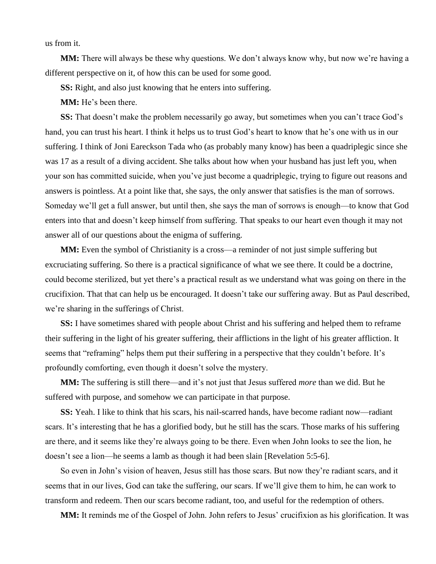us from it.

**MM:** There will always be these why questions. We don't always know why, but now we're having a different perspective on it, of how this can be used for some good.

**SS:** Right, and also just knowing that he enters into suffering.

**MM:** He's been there.

**SS:** That doesn't make the problem necessarily go away, but sometimes when you can't trace God's hand, you can trust his heart. I think it helps us to trust God's heart to know that he's one with us in our suffering. I think of Joni Eareckson Tada who (as probably many know) has been a quadriplegic since she was 17 as a result of a diving accident. She talks about how when your husband has just left you, when your son has committed suicide, when you've just become a quadriplegic, trying to figure out reasons and answers is pointless. At a point like that, she says, the only answer that satisfies is the man of sorrows. Someday we'll get a full answer, but until then, she says the man of sorrows is enough—to know that God enters into that and doesn't keep himself from suffering. That speaks to our heart even though it may not answer all of our questions about the enigma of suffering.

**MM:** Even the symbol of Christianity is a cross—a reminder of not just simple suffering but excruciating suffering. So there is a practical significance of what we see there. It could be a doctrine, could become sterilized, but yet there's a practical result as we understand what was going on there in the crucifixion. That that can help us be encouraged. It doesn't take our suffering away. But as Paul described, we're sharing in the sufferings of Christ.

**SS:** I have sometimes shared with people about Christ and his suffering and helped them to reframe their suffering in the light of his greater suffering, their afflictions in the light of his greater affliction. It seems that "reframing" helps them put their suffering in a perspective that they couldn't before. It's profoundly comforting, even though it doesn't solve the mystery.

**MM:** The suffering is still there—and it's not just that Jesus suffered *more* than we did. But he suffered with purpose, and somehow we can participate in that purpose.

**SS:** Yeah. I like to think that his scars, his nail-scarred hands, have become radiant now—radiant scars. It's interesting that he has a glorified body, but he still has the scars. Those marks of his suffering are there, and it seems like they're always going to be there. Even when John looks to see the lion, he doesn't see a lion—he seems a lamb as though it had been slain [Revelation 5:5-6].

So even in John's vision of heaven, Jesus still has those scars. But now they're radiant scars, and it seems that in our lives, God can take the suffering, our scars. If we'll give them to him, he can work to transform and redeem. Then our scars become radiant, too, and useful for the redemption of others.

**MM:** It reminds me of the Gospel of John. John refers to Jesus' crucifixion as his glorification. It was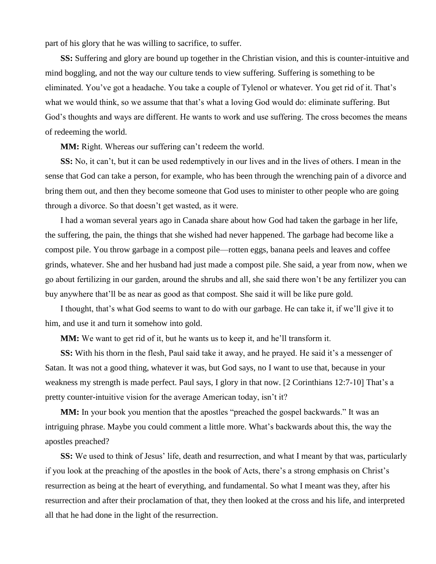part of his glory that he was willing to sacrifice, to suffer.

**SS:** Suffering and glory are bound up together in the Christian vision, and this is counter-intuitive and mind boggling, and not the way our culture tends to view suffering. Suffering is something to be eliminated. You've got a headache. You take a couple of Tylenol or whatever. You get rid of it. That's what we would think, so we assume that that's what a loving God would do: eliminate suffering. But God's thoughts and ways are different. He wants to work and use suffering. The cross becomes the means of redeeming the world.

**MM:** Right. Whereas our suffering can't redeem the world.

**SS:** No, it can't, but it can be used redemptively in our lives and in the lives of others. I mean in the sense that God can take a person, for example, who has been through the wrenching pain of a divorce and bring them out, and then they become someone that God uses to minister to other people who are going through a divorce. So that doesn't get wasted, as it were.

I had a woman several years ago in Canada share about how God had taken the garbage in her life, the suffering, the pain, the things that she wished had never happened. The garbage had become like a compost pile. You throw garbage in a compost pile—rotten eggs, banana peels and leaves and coffee grinds, whatever. She and her husband had just made a compost pile. She said, a year from now, when we go about fertilizing in our garden, around the shrubs and all, she said there won't be any fertilizer you can buy anywhere that'll be as near as good as that compost. She said it will be like pure gold.

I thought, that's what God seems to want to do with our garbage. He can take it, if we'll give it to him, and use it and turn it somehow into gold.

**MM:** We want to get rid of it, but he wants us to keep it, and he'll transform it.

**SS:** With his thorn in the flesh, Paul said take it away, and he prayed. He said it's a messenger of Satan. It was not a good thing, whatever it was, but God says, no I want to use that, because in your weakness my strength is made perfect. Paul says, I glory in that now. [2 Corinthians 12:7-10] That's a pretty counter-intuitive vision for the average American today, isn't it?

**MM:** In your book you mention that the apostles "preached the gospel backwards." It was an intriguing phrase. Maybe you could comment a little more. What's backwards about this, the way the apostles preached?

**SS:** We used to think of Jesus' life, death and resurrection, and what I meant by that was, particularly if you look at the preaching of the apostles in the book of Acts, there's a strong emphasis on Christ's resurrection as being at the heart of everything, and fundamental. So what I meant was they, after his resurrection and after their proclamation of that, they then looked at the cross and his life, and interpreted all that he had done in the light of the resurrection.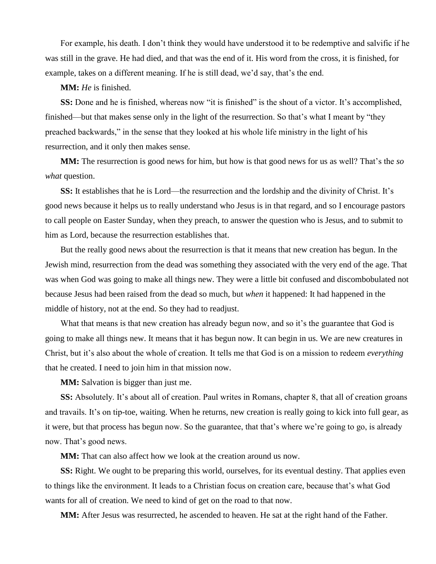For example, his death. I don't think they would have understood it to be redemptive and salvific if he was still in the grave. He had died, and that was the end of it. His word from the cross, it is finished, for example, takes on a different meaning. If he is still dead, we'd say, that's the end.

**MM:** *He* is finished.

**SS:** Done and he is finished, whereas now "it is finished" is the shout of a victor. It's accomplished, finished—but that makes sense only in the light of the resurrection. So that's what I meant by "they preached backwards," in the sense that they looked at his whole life ministry in the light of his resurrection, and it only then makes sense.

**MM:** The resurrection is good news for him, but how is that good news for us as well? That's the *so what* question.

**SS:** It establishes that he is Lord—the resurrection and the lordship and the divinity of Christ. It's good news because it helps us to really understand who Jesus is in that regard, and so I encourage pastors to call people on Easter Sunday, when they preach, to answer the question who is Jesus, and to submit to him as Lord, because the resurrection establishes that.

But the really good news about the resurrection is that it means that new creation has begun. In the Jewish mind, resurrection from the dead was something they associated with the very end of the age. That was when God was going to make all things new. They were a little bit confused and discombobulated not because Jesus had been raised from the dead so much, but *when* it happened: It had happened in the middle of history, not at the end. So they had to readjust.

What that means is that new creation has already begun now, and so it's the guarantee that God is going to make all things new. It means that it has begun now. It can begin in us. We are new creatures in Christ, but it's also about the whole of creation. It tells me that God is on a mission to redeem *everything* that he created. I need to join him in that mission now.

**MM:** Salvation is bigger than just me.

**SS:** Absolutely. It's about all of creation. Paul writes in Romans, chapter 8, that all of creation groans and travails. It's on tip-toe, waiting. When he returns, new creation is really going to kick into full gear, as it were, but that process has begun now. So the guarantee, that that's where we're going to go, is already now. That's good news.

**MM:** That can also affect how we look at the creation around us now.

**SS:** Right. We ought to be preparing this world, ourselves, for its eventual destiny. That applies even to things like the environment. It leads to a Christian focus on creation care, because that's what God wants for all of creation. We need to kind of get on the road to that now.

**MM:** After Jesus was resurrected, he ascended to heaven. He sat at the right hand of the Father.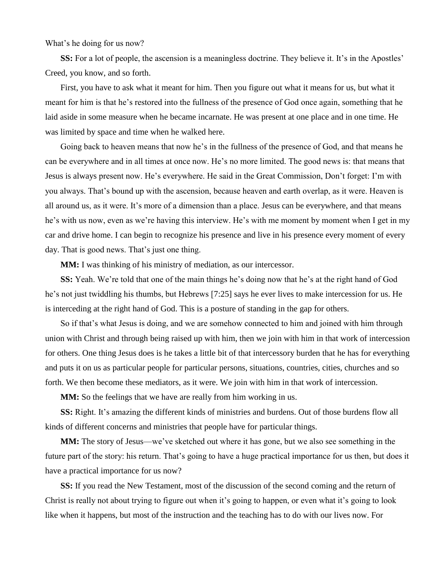What's he doing for us now?

**SS:** For a lot of people, the ascension is a meaningless doctrine. They believe it. It's in the Apostles' Creed, you know, and so forth.

First, you have to ask what it meant for him. Then you figure out what it means for us, but what it meant for him is that he's restored into the fullness of the presence of God once again, something that he laid aside in some measure when he became incarnate. He was present at one place and in one time. He was limited by space and time when he walked here.

Going back to heaven means that now he's in the fullness of the presence of God, and that means he can be everywhere and in all times at once now. He's no more limited. The good news is: that means that Jesus is always present now. He's everywhere. He said in the Great Commission, Don't forget: I'm with you always. That's bound up with the ascension, because heaven and earth overlap, as it were. Heaven is all around us, as it were. It's more of a dimension than a place. Jesus can be everywhere, and that means he's with us now, even as we're having this interview. He's with me moment by moment when I get in my car and drive home. I can begin to recognize his presence and live in his presence every moment of every day. That is good news. That's just one thing.

**MM:** I was thinking of his ministry of mediation, as our intercessor.

**SS:** Yeah. We're told that one of the main things he's doing now that he's at the right hand of God he's not just twiddling his thumbs, but Hebrews [7:25] says he ever lives to make intercession for us. He is interceding at the right hand of God. This is a posture of standing in the gap for others.

So if that's what Jesus is doing, and we are somehow connected to him and joined with him through union with Christ and through being raised up with him, then we join with him in that work of intercession for others. One thing Jesus does is he takes a little bit of that intercessory burden that he has for everything and puts it on us as particular people for particular persons, situations, countries, cities, churches and so forth. We then become these mediators, as it were. We join with him in that work of intercession.

**MM:** So the feelings that we have are really from him working in us.

**SS:** Right. It's amazing the different kinds of ministries and burdens. Out of those burdens flow all kinds of different concerns and ministries that people have for particular things.

**MM:** The story of Jesus—we've sketched out where it has gone, but we also see something in the future part of the story: his return. That's going to have a huge practical importance for us then, but does it have a practical importance for us now?

**SS:** If you read the New Testament, most of the discussion of the second coming and the return of Christ is really not about trying to figure out when it's going to happen, or even what it's going to look like when it happens, but most of the instruction and the teaching has to do with our lives now. For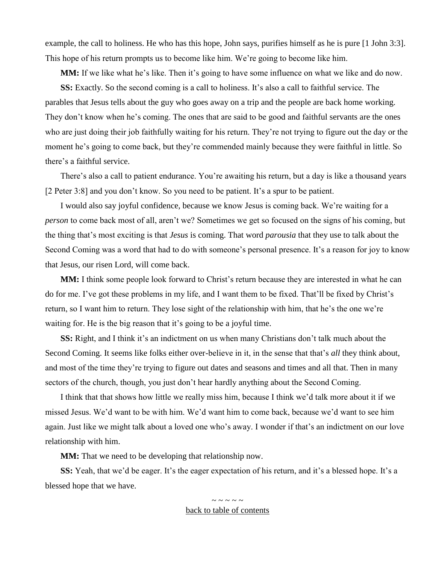example, the call to holiness. He who has this hope, John says, purifies himself as he is pure [1 John 3:3]. This hope of his return prompts us to become like him. We're going to become like him.

**MM:** If we like what he's like. Then it's going to have some influence on what we like and do now.

**SS:** Exactly. So the second coming is a call to holiness. It's also a call to faithful service. The parables that Jesus tells about the guy who goes away on a trip and the people are back home working. They don't know when he's coming. The ones that are said to be good and faithful servants are the ones who are just doing their job faithfully waiting for his return. They're not trying to figure out the day or the moment he's going to come back, but they're commended mainly because they were faithful in little. So there's a faithful service.

There's also a call to patient endurance. You're awaiting his return, but a day is like a thousand years [2 Peter 3:8] and you don't know. So you need to be patient. It's a spur to be patient.

I would also say joyful confidence, because we know Jesus is coming back. We're waiting for a *person* to come back most of all, aren't we? Sometimes we get so focused on the signs of his coming, but the thing that's most exciting is that *Jesus* is coming. That word *parousia* that they use to talk about the Second Coming was a word that had to do with someone's personal presence. It's a reason for joy to know that Jesus, our risen Lord, will come back.

**MM:** I think some people look forward to Christ's return because they are interested in what he can do for me. I've got these problems in my life, and I want them to be fixed. That'll be fixed by Christ's return, so I want him to return. They lose sight of the relationship with him, that he's the one we're waiting for. He is the big reason that it's going to be a joyful time.

**SS:** Right, and I think it's an indictment on us when many Christians don't talk much about the Second Coming. It seems like folks either over-believe in it, in the sense that that's *all* they think about, and most of the time they're trying to figure out dates and seasons and times and all that. Then in many sectors of the church, though, you just don't hear hardly anything about the Second Coming.

I think that that shows how little we really miss him, because I think we'd talk more about it if we missed Jesus. We'd want to be with him. We'd want him to come back, because we'd want to see him again. Just like we might talk about a loved one who's away. I wonder if that's an indictment on our love relationship with him.

**MM:** That we need to be developing that relationship now.

**SS:** Yeah, that we'd be eager. It's the eager expectation of his return, and it's a blessed hope. It's a blessed hope that we have.

#### $\sim$   $\sim$   $\sim$   $\sim$ [back to table of contents](#page-0-0)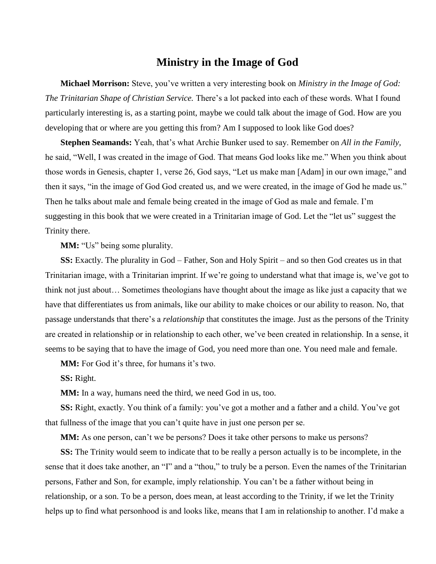### **Ministry in the Image of God**

<span id="page-10-0"></span>**Michael Morrison:** Steve, you've written a very interesting book on *Ministry in the Image of God: The Trinitarian Shape of Christian Service.* There's a lot packed into each of these words. What I found particularly interesting is, as a starting point, maybe we could talk about the image of God. How are you developing that or where are you getting this from? Am I supposed to look like God does?

**Stephen Seamands:** Yeah, that's what Archie Bunker used to say. Remember on *All in the Family,* he said, "Well, I was created in the image of God. That means God looks like me." When you think about those words in Genesis, chapter 1, verse 26, God says, "Let us make man [Adam] in our own image," and then it says, "in the image of God God created us, and we were created, in the image of God he made us." Then he talks about male and female being created in the image of God as male and female. I'm suggesting in this book that we were created in a Trinitarian image of God. Let the "let us" suggest the Trinity there.

**MM:** "Us" being some plurality.

**SS:** Exactly. The plurality in God – Father, Son and Holy Spirit – and so then God creates us in that Trinitarian image, with a Trinitarian imprint. If we're going to understand what that image is, we've got to think not just about… Sometimes theologians have thought about the image as like just a capacity that we have that differentiates us from animals, like our ability to make choices or our ability to reason. No, that passage understands that there's a *relationship* that constitutes the image. Just as the persons of the Trinity are created in relationship or in relationship to each other, we've been created in relationship. In a sense, it seems to be saying that to have the image of God, you need more than one. You need male and female.

**MM:** For God it's three, for humans it's two.

**SS:** Right.

**MM:** In a way, humans need the third, we need God in us, too.

**SS:** Right, exactly. You think of a family: you've got a mother and a father and a child. You've got that fullness of the image that you can't quite have in just one person per se.

**MM:** As one person, can't we be persons? Does it take other persons to make us persons?

**SS:** The Trinity would seem to indicate that to be really a person actually is to be incomplete, in the sense that it does take another, an "I" and a "thou," to truly be a person. Even the names of the Trinitarian persons, Father and Son, for example, imply relationship. You can't be a father without being in relationship, or a son. To be a person, does mean, at least according to the Trinity, if we let the Trinity helps up to find what personhood is and looks like, means that I am in relationship to another. I'd make a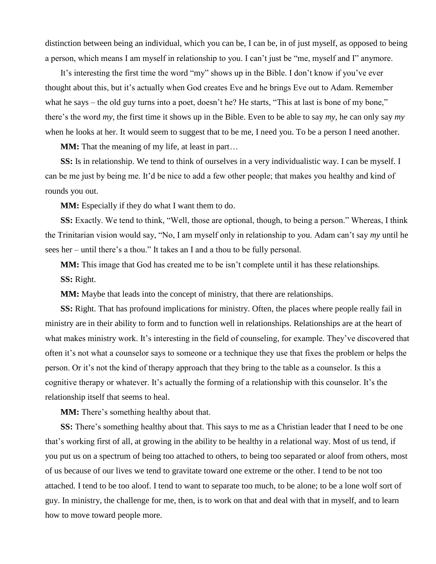distinction between being an individual, which you can be, I can be, in of just myself, as opposed to being a person, which means I am myself in relationship to you. I can't just be "me, myself and I" anymore.

It's interesting the first time the word "my" shows up in the Bible. I don't know if you've ever thought about this, but it's actually when God creates Eve and he brings Eve out to Adam. Remember what he says – the old guy turns into a poet, doesn't he? He starts, "This at last is bone of my bone," there's the word *my,* the first time it shows up in the Bible. Even to be able to say *my,* he can only say *my* when he looks at her. It would seem to suggest that to be me, I need you. To be a person I need another.

**MM:** That the meaning of my life, at least in part...

**SS:** Is in relationship. We tend to think of ourselves in a very individualistic way. I can be myself. I can be me just by being me. It'd be nice to add a few other people; that makes you healthy and kind of rounds you out.

**MM:** Especially if they do what I want them to do.

**SS:** Exactly. We tend to think, "Well, those are optional, though, to being a person." Whereas, I think the Trinitarian vision would say, "No, I am myself only in relationship to you. Adam can't say *my* until he sees her – until there's a thou." It takes an I and a thou to be fully personal.

**MM:** This image that God has created me to be isn't complete until it has these relationships.

**SS:** Right.

**MM:** Maybe that leads into the concept of ministry, that there are relationships.

**SS:** Right. That has profound implications for ministry. Often, the places where people really fail in ministry are in their ability to form and to function well in relationships. Relationships are at the heart of what makes ministry work. It's interesting in the field of counseling, for example. They've discovered that often it's not what a counselor says to someone or a technique they use that fixes the problem or helps the person. Or it's not the kind of therapy approach that they bring to the table as a counselor. Is this a cognitive therapy or whatever. It's actually the forming of a relationship with this counselor. It's the relationship itself that seems to heal.

**MM:** There's something healthy about that.

**SS:** There's something healthy about that. This says to me as a Christian leader that I need to be one that's working first of all, at growing in the ability to be healthy in a relational way. Most of us tend, if you put us on a spectrum of being too attached to others, to being too separated or aloof from others, most of us because of our lives we tend to gravitate toward one extreme or the other. I tend to be not too attached. I tend to be too aloof. I tend to want to separate too much, to be alone; to be a lone wolf sort of guy. In ministry, the challenge for me, then, is to work on that and deal with that in myself, and to learn how to move toward people more.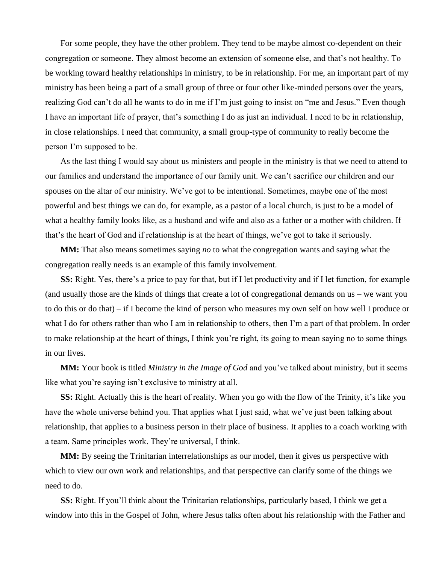For some people, they have the other problem. They tend to be maybe almost co-dependent on their congregation or someone. They almost become an extension of someone else, and that's not healthy. To be working toward healthy relationships in ministry, to be in relationship. For me, an important part of my ministry has been being a part of a small group of three or four other like-minded persons over the years, realizing God can't do all he wants to do in me if I'm just going to insist on "me and Jesus." Even though I have an important life of prayer, that's something I do as just an individual. I need to be in relationship, in close relationships. I need that community, a small group-type of community to really become the person I'm supposed to be.

As the last thing I would say about us ministers and people in the ministry is that we need to attend to our families and understand the importance of our family unit. We can't sacrifice our children and our spouses on the altar of our ministry. We've got to be intentional. Sometimes, maybe one of the most powerful and best things we can do, for example, as a pastor of a local church, is just to be a model of what a healthy family looks like, as a husband and wife and also as a father or a mother with children. If that's the heart of God and if relationship is at the heart of things, we've got to take it seriously.

**MM:** That also means sometimes saying *no* to what the congregation wants and saying what the congregation really needs is an example of this family involvement.

**SS:** Right. Yes, there's a price to pay for that, but if I let productivity and if I let function, for example (and usually those are the kinds of things that create a lot of congregational demands on us – we want you to do this or do that) – if I become the kind of person who measures my own self on how well I produce or what I do for others rather than who I am in relationship to others, then I'm a part of that problem. In order to make relationship at the heart of things, I think you're right, its going to mean saying no to some things in our lives.

**MM:** Your book is titled *Ministry in the Image of God* and you've talked about ministry, but it seems like what you're saying isn't exclusive to ministry at all.

**SS:** Right. Actually this is the heart of reality. When you go with the flow of the Trinity, it's like you have the whole universe behind you. That applies what I just said, what we've just been talking about relationship, that applies to a business person in their place of business. It applies to a coach working with a team. Same principles work. They're universal, I think.

**MM:** By seeing the Trinitarian interrelationships as our model, then it gives us perspective with which to view our own work and relationships, and that perspective can clarify some of the things we need to do.

**SS:** Right. If you'll think about the Trinitarian relationships, particularly based, I think we get a window into this in the Gospel of John, where Jesus talks often about his relationship with the Father and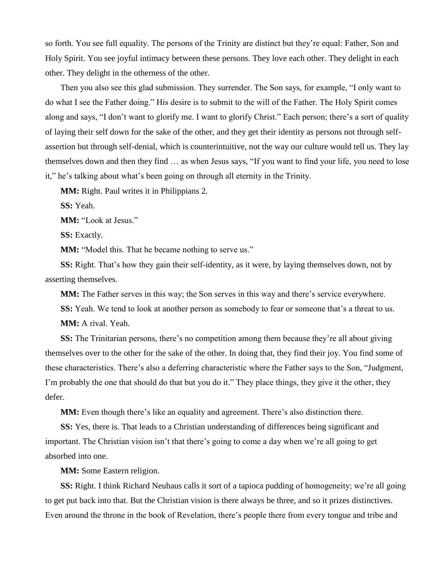so forth. You see full equality. The persons of the Trinity are distinct but they're equal: Father, Son and Holy Spirit. You see joyful intimacy between these persons. They love each other. They delight in each other. They delight in the otherness of the other.

Then you also see this glad submission. They surrender. The Son says, for example, "I only want to do what I see the Father doing." His desire is to submit to the will of the Father. The Holy Spirit comes along and says, "I don't want to glorify me. I want to glorify Christ." Each person; there's a sort of quality of laying their self down for the sake of the other, and they get their identity as persons not through selfassertion but through self-denial, which is counterintuitive, not the way our culture would tell us. They lay themselves down and then they find … as when Jesus says, "If you want to find your life, you need to lose it," he's talking about what's been going on through all eternity in the Trinity.

**MM:** Right. Paul writes it in Philippians 2.

**SS:** Yeah.

**MM:** "Look at Jesus."

**SS:** Exactly.

**MM:** "Model this. That he became nothing to serve us."

**SS:** Right. That's how they gain their self-identity, as it were, by laying themselves down, not by asserting themselves.

**MM:** The Father serves in this way; the Son serves in this way and there's service everywhere.

**SS:** Yeah. We tend to look at another person as somebody to fear or someone that's a threat to us. **MM:** A rival. Yeah.

**SS:** The Trinitarian persons, there's no competition among them because they're all about giving themselves over to the other for the sake of the other. In doing that, they find their joy. You find some of these characteristics. There's also a deferring characteristic where the Father says to the Son, "Judgment, I'm probably the one that should do that but you do it." They place things, they give it the other, they defer.

**MM:** Even though there's like an equality and agreement. There's also distinction there.

**SS:** Yes, there is. That leads to a Christian understanding of differences being significant and important. The Christian vision isn't that there's going to come a day when we're all going to get absorbed into one.

**MM:** Some Eastern religion.

**SS:** Right. I think Richard Neuhaus calls it sort of a tapioca pudding of homogeneity; we're all going to get put back into that. But the Christian vision is there always be three, and so it prizes distinctives. Even around the throne in the book of Revelation, there's people there from every tongue and tribe and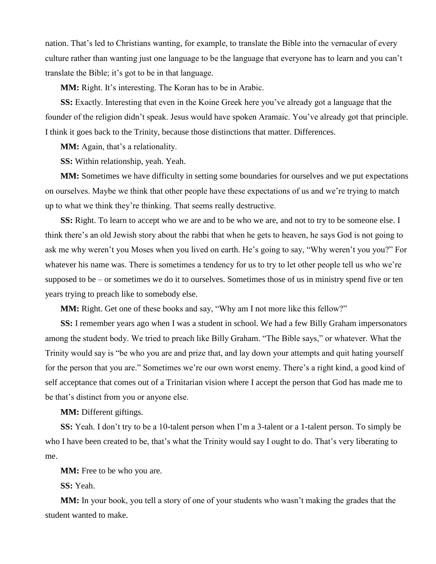nation. That's led to Christians wanting, for example, to translate the Bible into the vernacular of every culture rather than wanting just one language to be the language that everyone has to learn and you can't translate the Bible; it's got to be in that language.

**MM:** Right. It's interesting. The Koran has to be in Arabic.

**SS:** Exactly. Interesting that even in the Koine Greek here you've already got a language that the founder of the religion didn't speak. Jesus would have spoken Aramaic. You've already got that principle. I think it goes back to the Trinity, because those distinctions that matter. Differences.

**MM:** Again, that's a relationality.

**SS:** Within relationship, yeah. Yeah.

**MM:** Sometimes we have difficulty in setting some boundaries for ourselves and we put expectations on ourselves. Maybe we think that other people have these expectations of us and we're trying to match up to what we think they're thinking. That seems really destructive.

**SS:** Right. To learn to accept who we are and to be who we are, and not to try to be someone else. I think there's an old Jewish story about the rabbi that when he gets to heaven, he says God is not going to ask me why weren't you Moses when you lived on earth. He's going to say, "Why weren't you you?" For whatever his name was. There is sometimes a tendency for us to try to let other people tell us who we're supposed to be – or sometimes we do it to ourselves. Sometimes those of us in ministry spend five or ten years trying to preach like to somebody else.

**MM:** Right. Get one of these books and say, "Why am I not more like this fellow?"

**SS:** I remember years ago when I was a student in school. We had a few Billy Graham impersonators among the student body. We tried to preach like Billy Graham. "The Bible says," or whatever. What the Trinity would say is "be who you are and prize that, and lay down your attempts and quit hating yourself for the person that you are." Sometimes we're our own worst enemy. There's a right kind, a good kind of self acceptance that comes out of a Trinitarian vision where I accept the person that God has made me to be that's distinct from you or anyone else.

**MM:** Different giftings.

**SS:** Yeah. I don't try to be a 10-talent person when I'm a 3-talent or a 1-talent person. To simply be who I have been created to be, that's what the Trinity would say I ought to do. That's very liberating to me.

**MM:** Free to be who you are.

**SS:** Yeah.

**MM:** In your book, you tell a story of one of your students who wasn't making the grades that the student wanted to make.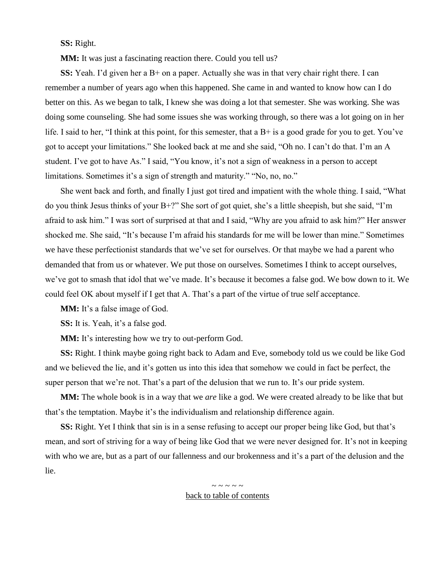#### **SS:** Right.

**MM:** It was just a fascinating reaction there. Could you tell us?

**SS:** Yeah. I'd given her a B+ on a paper. Actually she was in that very chair right there. I can remember a number of years ago when this happened. She came in and wanted to know how can I do better on this. As we began to talk, I knew she was doing a lot that semester. She was working. She was doing some counseling. She had some issues she was working through, so there was a lot going on in her life. I said to her, "I think at this point, for this semester, that a B+ is a good grade for you to get. You've got to accept your limitations." She looked back at me and she said, "Oh no. I can't do that. I'm an A student. I've got to have As." I said, "You know, it's not a sign of weakness in a person to accept limitations. Sometimes it's a sign of strength and maturity." "No, no, no."

She went back and forth, and finally I just got tired and impatient with the whole thing. I said, "What do you think Jesus thinks of your B+?" She sort of got quiet, she's a little sheepish, but she said, "I'm afraid to ask him." I was sort of surprised at that and I said, "Why are you afraid to ask him?" Her answer shocked me. She said, "It's because I'm afraid his standards for me will be lower than mine." Sometimes we have these perfectionist standards that we've set for ourselves. Or that maybe we had a parent who demanded that from us or whatever. We put those on ourselves. Sometimes I think to accept ourselves, we've got to smash that idol that we've made. It's because it becomes a false god. We bow down to it. We could feel OK about myself if I get that A. That's a part of the virtue of true self acceptance.

**MM:** It's a false image of God.

**SS:** It is. Yeah, it's a false god.

**MM:** It's interesting how we try to out-perform God.

**SS:** Right. I think maybe going right back to Adam and Eve, somebody told us we could be like God and we believed the lie, and it's gotten us into this idea that somehow we could in fact be perfect, the super person that we're not. That's a part of the delusion that we run to. It's our pride system.

**MM:** The whole book is in a way that we *are* like a god. We were created already to be like that but that's the temptation. Maybe it's the individualism and relationship difference again.

**SS:** Right. Yet I think that sin is in a sense refusing to accept our proper being like God, but that's mean, and sort of striving for a way of being like God that we were never designed for. It's not in keeping with who we are, but as a part of our fallenness and our brokenness and it's a part of the delusion and the lie.

#### $\sim$   $\sim$   $\sim$   $\sim$   $\sim$ [back to table of contents](#page-0-0)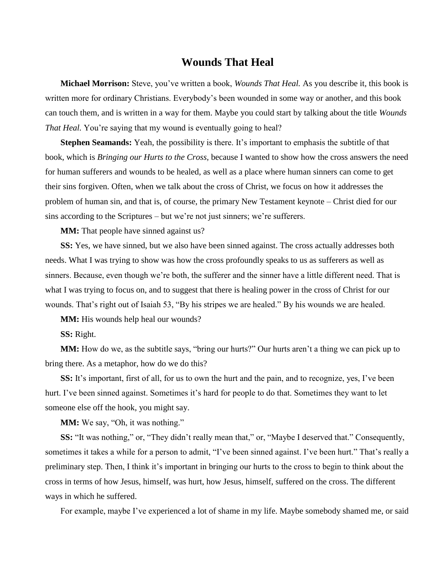### **Wounds That Heal**

<span id="page-16-0"></span>**Michael Morrison:** Steve, you've written a book, *Wounds That Heal.* As you describe it, this book is written more for ordinary Christians. Everybody's been wounded in some way or another, and this book can touch them, and is written in a way for them. Maybe you could start by talking about the title *Wounds That Heal.* You're saying that my wound is eventually going to heal?

**Stephen Seamands:** Yeah, the possibility is there. It's important to emphasis the subtitle of that book, which is *Bringing our Hurts to the Cross,* because I wanted to show how the cross answers the need for human sufferers and wounds to be healed, as well as a place where human sinners can come to get their sins forgiven. Often, when we talk about the cross of Christ, we focus on how it addresses the problem of human sin, and that is, of course, the primary New Testament keynote – Christ died for our sins according to the Scriptures – but we're not just sinners; we're sufferers.

**MM:** That people have sinned against us?

**SS:** Yes, we have sinned, but we also have been sinned against. The cross actually addresses both needs. What I was trying to show was how the cross profoundly speaks to us as sufferers as well as sinners. Because, even though we're both, the sufferer and the sinner have a little different need. That is what I was trying to focus on, and to suggest that there is healing power in the cross of Christ for our wounds. That's right out of Isaiah 53, "By his stripes we are healed." By his wounds we are healed.

**MM:** His wounds help heal our wounds?

**SS:** Right.

**MM:** How do we, as the subtitle says, "bring our hurts?" Our hurts aren't a thing we can pick up to bring there. As a metaphor, how do we do this?

**SS:** It's important, first of all, for us to own the hurt and the pain, and to recognize, yes, I've been hurt. I've been sinned against. Sometimes it's hard for people to do that. Sometimes they want to let someone else off the hook, you might say.

**MM:** We say, "Oh, it was nothing."

**SS:** "It was nothing," or, "They didn't really mean that," or, "Maybe I deserved that." Consequently, sometimes it takes a while for a person to admit, "I've been sinned against. I've been hurt." That's really a preliminary step. Then, I think it's important in bringing our hurts to the cross to begin to think about the cross in terms of how Jesus, himself, was hurt, how Jesus, himself, suffered on the cross. The different ways in which he suffered.

For example, maybe I've experienced a lot of shame in my life. Maybe somebody shamed me, or said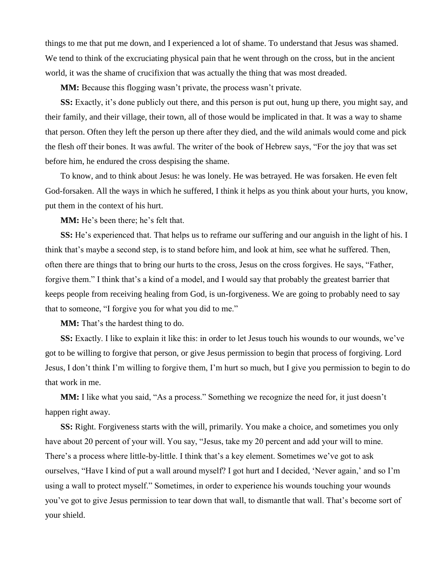things to me that put me down, and I experienced a lot of shame. To understand that Jesus was shamed. We tend to think of the excruciating physical pain that he went through on the cross, but in the ancient world, it was the shame of crucifixion that was actually the thing that was most dreaded.

**MM:** Because this flogging wasn't private, the process wasn't private.

**SS:** Exactly, it's done publicly out there, and this person is put out, hung up there, you might say, and their family, and their village, their town, all of those would be implicated in that. It was a way to shame that person. Often they left the person up there after they died, and the wild animals would come and pick the flesh off their bones. It was awful. The writer of the book of Hebrew says, "For the joy that was set before him, he endured the cross despising the shame.

To know, and to think about Jesus: he was lonely. He was betrayed. He was forsaken. He even felt God-forsaken. All the ways in which he suffered, I think it helps as you think about your hurts, you know, put them in the context of his hurt.

**MM:** He's been there; he's felt that.

**SS:** He's experienced that. That helps us to reframe our suffering and our anguish in the light of his. I think that's maybe a second step, is to stand before him, and look at him, see what he suffered. Then, often there are things that to bring our hurts to the cross, Jesus on the cross forgives. He says, "Father, forgive them." I think that's a kind of a model, and I would say that probably the greatest barrier that keeps people from receiving healing from God, is un-forgiveness. We are going to probably need to say that to someone, "I forgive you for what you did to me."

**MM:** That's the hardest thing to do.

**SS:** Exactly. I like to explain it like this: in order to let Jesus touch his wounds to our wounds, we've got to be willing to forgive that person, or give Jesus permission to begin that process of forgiving. Lord Jesus, I don't think I'm willing to forgive them, I'm hurt so much, but I give you permission to begin to do that work in me.

**MM:** I like what you said, "As a process." Something we recognize the need for, it just doesn't happen right away.

**SS:** Right. Forgiveness starts with the will, primarily. You make a choice, and sometimes you only have about 20 percent of your will. You say, "Jesus, take my 20 percent and add your will to mine. There's a process where little-by-little. I think that's a key element. Sometimes we've got to ask ourselves, "Have I kind of put a wall around myself? I got hurt and I decided, 'Never again,' and so I'm using a wall to protect myself." Sometimes, in order to experience his wounds touching your wounds you've got to give Jesus permission to tear down that wall, to dismantle that wall. That's become sort of your shield.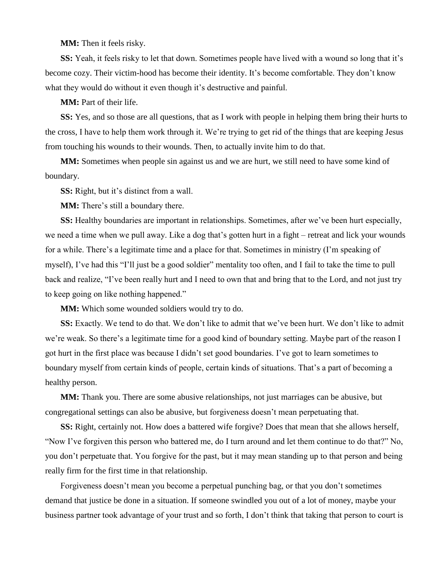**MM:** Then it feels risky.

**SS:** Yeah, it feels risky to let that down. Sometimes people have lived with a wound so long that it's become cozy. Their victim-hood has become their identity. It's become comfortable. They don't know what they would do without it even though it's destructive and painful.

**MM:** Part of their life.

**SS:** Yes, and so those are all questions, that as I work with people in helping them bring their hurts to the cross, I have to help them work through it. We're trying to get rid of the things that are keeping Jesus from touching his wounds to their wounds. Then, to actually invite him to do that.

**MM:** Sometimes when people sin against us and we are hurt, we still need to have some kind of boundary.

**SS:** Right, but it's distinct from a wall.

**MM:** There's still a boundary there.

**SS:** Healthy boundaries are important in relationships. Sometimes, after we've been hurt especially, we need a time when we pull away. Like a dog that's gotten hurt in a fight – retreat and lick your wounds for a while. There's a legitimate time and a place for that. Sometimes in ministry (I'm speaking of myself), I've had this "I'll just be a good soldier" mentality too often, and I fail to take the time to pull back and realize, "I've been really hurt and I need to own that and bring that to the Lord, and not just try to keep going on like nothing happened."

**MM:** Which some wounded soldiers would try to do.

**SS:** Exactly. We tend to do that. We don't like to admit that we've been hurt. We don't like to admit we're weak. So there's a legitimate time for a good kind of boundary setting. Maybe part of the reason I got hurt in the first place was because I didn't set good boundaries. I've got to learn sometimes to boundary myself from certain kinds of people, certain kinds of situations. That's a part of becoming a healthy person.

**MM:** Thank you. There are some abusive relationships, not just marriages can be abusive, but congregational settings can also be abusive, but forgiveness doesn't mean perpetuating that.

**SS:** Right, certainly not. How does a battered wife forgive? Does that mean that she allows herself, "Now I've forgiven this person who battered me, do I turn around and let them continue to do that?" No, you don't perpetuate that. You forgive for the past, but it may mean standing up to that person and being really firm for the first time in that relationship.

Forgiveness doesn't mean you become a perpetual punching bag, or that you don't sometimes demand that justice be done in a situation. If someone swindled you out of a lot of money, maybe your business partner took advantage of your trust and so forth, I don't think that taking that person to court is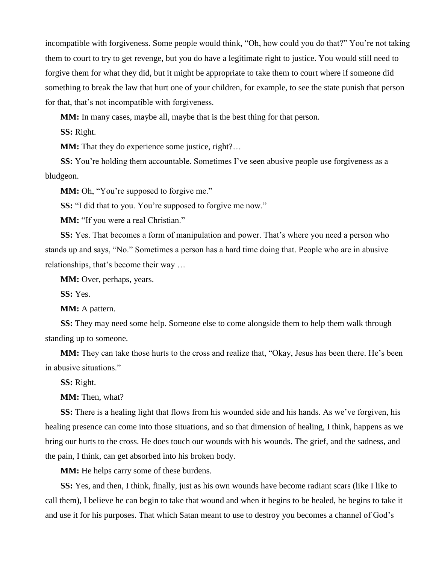incompatible with forgiveness. Some people would think, "Oh, how could you do that?" You're not taking them to court to try to get revenge, but you do have a legitimate right to justice. You would still need to forgive them for what they did, but it might be appropriate to take them to court where if someone did something to break the law that hurt one of your children, for example, to see the state punish that person for that, that's not incompatible with forgiveness.

**MM:** In many cases, maybe all, maybe that is the best thing for that person.

**SS:** Right.

**MM:** That they do experience some justice, right?...

**SS:** You're holding them accountable. Sometimes I've seen abusive people use forgiveness as a bludgeon.

**MM:** Oh, "You're supposed to forgive me."

**SS:** "I did that to you. You're supposed to forgive me now."

**MM:** "If you were a real Christian."

**SS:** Yes. That becomes a form of manipulation and power. That's where you need a person who stands up and says, "No." Sometimes a person has a hard time doing that. People who are in abusive relationships, that's become their way …

**MM:** Over, perhaps, years.

**SS:** Yes.

**MM:** A pattern.

**SS:** They may need some help. Someone else to come alongside them to help them walk through standing up to someone.

**MM:** They can take those hurts to the cross and realize that, "Okay, Jesus has been there. He's been in abusive situations."

**SS:** Right.

**MM:** Then, what?

**SS:** There is a healing light that flows from his wounded side and his hands. As we've forgiven, his healing presence can come into those situations, and so that dimension of healing, I think, happens as we bring our hurts to the cross. He does touch our wounds with his wounds. The grief, and the sadness, and the pain, I think, can get absorbed into his broken body.

**MM:** He helps carry some of these burdens.

**SS:** Yes, and then, I think, finally, just as his own wounds have become radiant scars (like I like to call them), I believe he can begin to take that wound and when it begins to be healed, he begins to take it and use it for his purposes. That which Satan meant to use to destroy you becomes a channel of God's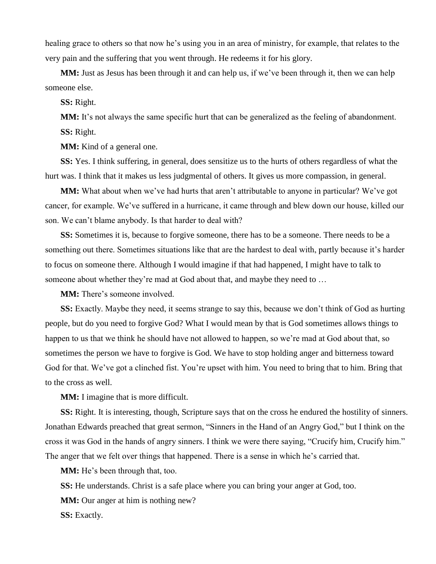healing grace to others so that now he's using you in an area of ministry, for example, that relates to the very pain and the suffering that you went through. He redeems it for his glory.

**MM:** Just as Jesus has been through it and can help us, if we've been through it, then we can help someone else.

**SS:** Right.

**MM:** It's not always the same specific hurt that can be generalized as the feeling of abandonment. **SS:** Right.

**MM:** Kind of a general one.

**SS:** Yes. I think suffering, in general, does sensitize us to the hurts of others regardless of what the hurt was. I think that it makes us less judgmental of others. It gives us more compassion, in general.

**MM:** What about when we've had hurts that aren't attributable to anyone in particular? We've got cancer, for example. We've suffered in a hurricane, it came through and blew down our house, killed our son. We can't blame anybody. Is that harder to deal with?

**SS:** Sometimes it is, because to forgive someone, there has to be a someone. There needs to be a something out there. Sometimes situations like that are the hardest to deal with, partly because it's harder to focus on someone there. Although I would imagine if that had happened, I might have to talk to someone about whether they're mad at God about that, and maybe they need to …

**MM:** There's someone involved.

**SS:** Exactly. Maybe they need, it seems strange to say this, because we don't think of God as hurting people, but do you need to forgive God? What I would mean by that is God sometimes allows things to happen to us that we think he should have not allowed to happen, so we're mad at God about that, so sometimes the person we have to forgive is God. We have to stop holding anger and bitterness toward God for that. We've got a clinched fist. You're upset with him. You need to bring that to him. Bring that to the cross as well.

**MM:** I imagine that is more difficult.

**SS:** Right. It is interesting, though, Scripture says that on the cross he endured the hostility of sinners. Jonathan Edwards preached that great sermon, "Sinners in the Hand of an Angry God," but I think on the cross it was God in the hands of angry sinners. I think we were there saying, "Crucify him, Crucify him." The anger that we felt over things that happened. There is a sense in which he's carried that.

**MM:** He's been through that, too.

**SS:** He understands. Christ is a safe place where you can bring your anger at God, too.

**MM:** Our anger at him is nothing new?

**SS:** Exactly.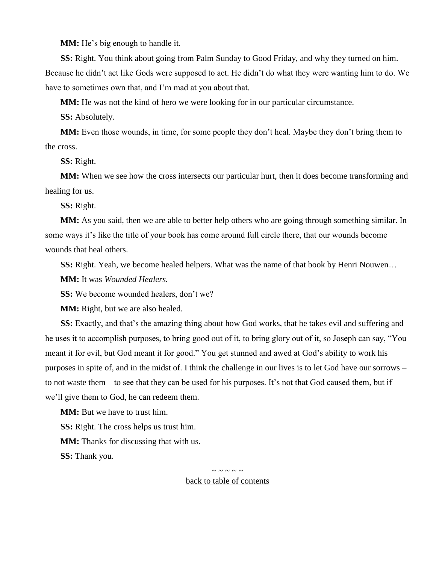**MM:** He's big enough to handle it.

**SS:** Right. You think about going from Palm Sunday to Good Friday, and why they turned on him. Because he didn't act like Gods were supposed to act. He didn't do what they were wanting him to do. We have to sometimes own that, and I'm mad at you about that.

**MM:** He was not the kind of hero we were looking for in our particular circumstance.

**SS:** Absolutely.

**MM:** Even those wounds, in time, for some people they don't heal. Maybe they don't bring them to the cross.

**SS:** Right.

**MM:** When we see how the cross intersects our particular hurt, then it does become transforming and healing for us.

**SS:** Right.

**MM:** As you said, then we are able to better help others who are going through something similar. In some ways it's like the title of your book has come around full circle there, that our wounds become wounds that heal others.

**SS:** Right. Yeah, we become healed helpers. What was the name of that book by Henri Nouwen…

**MM:** It was *Wounded Healers.*

**SS:** We become wounded healers, don't we?

**MM:** Right, but we are also healed.

**SS:** Exactly, and that's the amazing thing about how God works, that he takes evil and suffering and he uses it to accomplish purposes, to bring good out of it, to bring glory out of it, so Joseph can say, "You meant it for evil, but God meant it for good." You get stunned and awed at God's ability to work his purposes in spite of, and in the midst of. I think the challenge in our lives is to let God have our sorrows – to not waste them – to see that they can be used for his purposes. It's not that God caused them, but if we'll give them to God, he can redeem them.

**MM:** But we have to trust him.

**SS:** Right. The cross helps us trust him.

**MM:** Thanks for discussing that with us.

**SS:** Thank you.

 $\sim$   $\sim$   $\sim$   $\sim$ [back to table of contents](#page-0-0)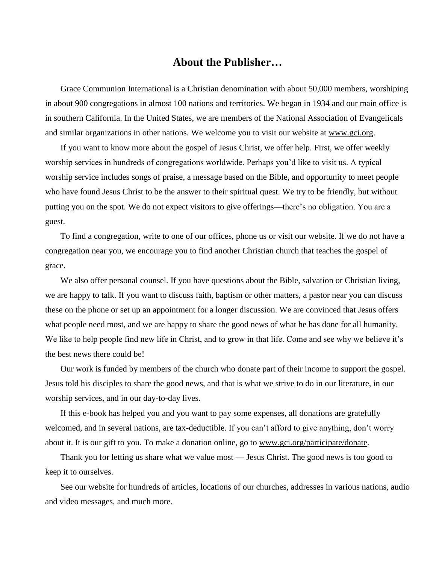### **About the Publisher…**

<span id="page-22-0"></span>Grace Communion International is a Christian denomination with about 50,000 members, worshiping in about 900 congregations in almost 100 nations and territories. We began in 1934 and our main office is in southern California. In the United States, we are members of the National Association of Evangelicals and similar organizations in other nations. We welcome you to visit our website at [www.gci.org.](http://www.gci.org/)

If you want to know more about the gospel of Jesus Christ, we offer help. First, we offer weekly worship services in hundreds of congregations worldwide. Perhaps you'd like to visit us. A typical worship service includes songs of praise, a message based on the Bible, and opportunity to meet people who have found Jesus Christ to be the answer to their spiritual quest. We try to be friendly, but without putting you on the spot. We do not expect visitors to give offerings—there's no obligation. You are a guest.

To find a congregation, write to one of our offices, phone us or visit our website. If we do not have a congregation near you, we encourage you to find another Christian church that teaches the gospel of grace.

We also offer personal counsel. If you have questions about the Bible, salvation or Christian living, we are happy to talk. If you want to discuss faith, baptism or other matters, a pastor near you can discuss these on the phone or set up an appointment for a longer discussion. We are convinced that Jesus offers what people need most, and we are happy to share the good news of what he has done for all humanity. We like to help people find new life in Christ, and to grow in that life. Come and see why we believe it's the best news there could be!

Our work is funded by members of the church who donate part of their income to support the gospel. Jesus told his disciples to share the good news, and that is what we strive to do in our literature, in our worship services, and in our day-to-day lives.

If this e-book has helped you and you want to pay some expenses, all donations are gratefully welcomed, and in several nations, are tax-deductible. If you can't afford to give anything, don't worry about it. It is our gift to you. To make a donation online, go to [www.gci.org/participate/donate.](https://www.gci.org/participate/donate)

Thank you for letting us share what we value most — Jesus Christ. The good news is too good to keep it to ourselves.

See our website for hundreds of articles, locations of our churches, addresses in various nations, audio and video messages, and much more.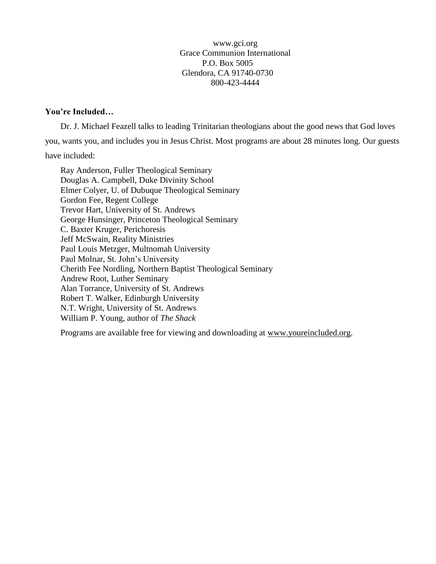www.gci.org Grace Communion International P.O. Box 5005 Glendora, CA 91740-0730 800-423-4444

#### **You're Included…**

Dr. J. Michael Feazell talks to leading Trinitarian theologians about the good news that God loves

you, wants you, and includes you in Jesus Christ. Most programs are about 28 minutes long. Our guests

have included:

Ray Anderson, Fuller Theological Seminary Douglas A. Campbell, Duke Divinity School Elmer Colyer, U. of Dubuque Theological Seminary Gordon Fee, Regent College Trevor Hart, University of St. Andrews George Hunsinger, Princeton Theological Seminary C. Baxter Kruger, Perichoresis Jeff McSwain, Reality Ministries Paul Louis Metzger, Multnomah University Paul Molnar, St. John's University Cherith Fee Nordling, Northern Baptist Theological Seminary Andrew Root, Luther Seminary Alan Torrance, University of St. Andrews Robert T. Walker, Edinburgh University N.T. Wright, University of St. Andrews William P. Young, author of *The Shack*

Programs are available free for viewing and downloading at [www.youreincluded.org.](http://www.youreincluded.org/)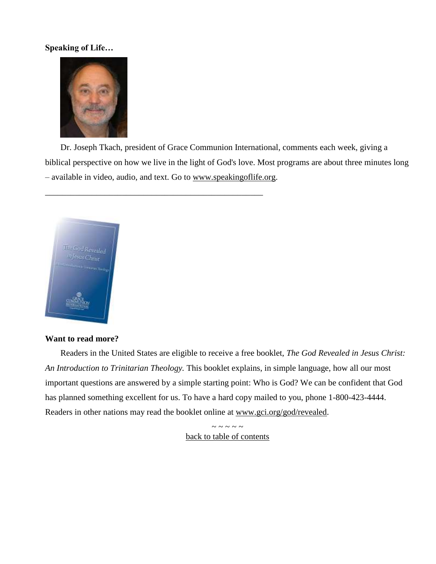#### **Speaking of Life…**



\_\_\_\_\_\_\_\_\_\_\_\_\_\_\_\_\_\_\_\_\_\_\_\_\_\_\_\_\_\_\_\_\_\_\_\_\_\_\_\_\_\_\_\_\_\_\_\_\_\_\_

Dr. Joseph Tkach, president of Grace Communion International, comments each week, giving a biblical perspective on how we live in the light of God's love. Most programs are about three minutes long – available in video, audio, and text. Go to [www.speakingoflife.org.](http://www.speakingoflife.org/)



### **Want to read more?**

Readers in the United States are eligible to receive a free booklet, *The God Revealed in Jesus Christ: An Introduction to Trinitarian Theology.* This booklet explains, in simple language, how all our most important questions are answered by a simple starting point: Who is God? We can be confident that God has planned something excellent for us. To have a hard copy mailed to you, phone 1-800-423-4444. Readers in other nations may read the booklet online at [www.gci.org/god/revealed.](http://www.gci.org/god/revealed)

> $\sim$   $\sim$   $\sim$   $\sim$ [back to table of contents](#page-0-0)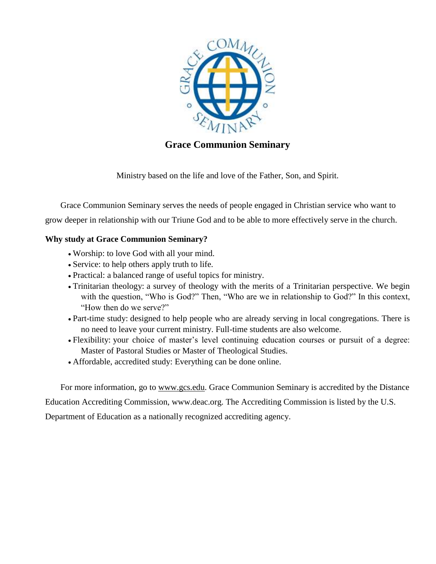<span id="page-25-0"></span>

**Grace Communion Seminary**

Ministry based on the life and love of the Father, Son, and Spirit.

Grace Communion Seminary serves the needs of people engaged in Christian service who want to grow deeper in relationship with our Triune God and to be able to more effectively serve in the church.

### **Why study at Grace Communion Seminary?**

- Worship: to love God with all your mind.
- Service: to help others apply truth to life.
- Practical: a balanced range of useful topics for ministry.
- Trinitarian theology: a survey of theology with the merits of a Trinitarian perspective. We begin with the question, "Who is God?" Then, "Who are we in relationship to God?" In this context, "How then do we serve?"
- Part-time study: designed to help people who are already serving in local congregations. There is no need to leave your current ministry. Full-time students are also welcome.
- Flexibility: your choice of master's level continuing education courses or pursuit of a degree: Master of Pastoral Studies or Master of Theological Studies.
- Affordable, accredited study: Everything can be done online.

For more information, go to [www.gcs.edu.](http://www.gcs.edu/) Grace Communion Seminary is accredited by the Distance

Education Accrediting Commission, www.deac.org. The Accrediting Commission is listed by the U.S.

Department of Education as a nationally recognized accrediting agency.